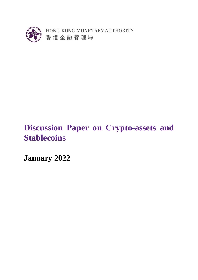

HONG KONG MONETARY AUTHORITY 香港金融管理局

# **Discussion Paper on Crypto-assets and Stablecoins**

**January 2022**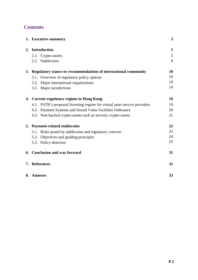# **Contents**

| 1. Executive summary                                                      | 3  |
|---------------------------------------------------------------------------|----|
| 2. Introduction                                                           | 5  |
| 2.1. Crypto-assets                                                        | 5  |
| 2.2. Stablecoins                                                          | 8  |
| 3. Regulatory stance or recommendations of international community        |    |
| 3.1. Overview of regulatory policy options                                | 10 |
| 3.2. Major international organisations                                    | 10 |
| 3.3. Major jurisdictions                                                  | 14 |
| 4. Current regulatory regime in Hong Kong                                 |    |
| 4.1. FSTB's proposed licensing regime for virtual asset service providers | 19 |
| 4.2. Payment Systems and Stored Value Facilities Ordinance                | 20 |
| 4.3. Non-backed crypto-assets such as security crypto-assets              | 21 |
| 5. Payment-related stablecoins                                            |    |
| 5.1. Risks posed by stablecoins and regulatory concern                    | 22 |
| 5.2. Objectives and guiding principles                                    | 24 |
| 5.3. Policy direction                                                     | 25 |
| 6. Conclusion and way forward                                             | 31 |
| 7. References                                                             | 32 |
| 8. Annexes                                                                | 33 |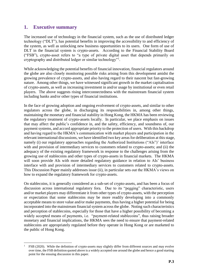# **1. Executive summary**

 $\overline{\phantom{a}}$ 

The increased use of technology in the financial system, such as the use of distributed ledger technology ("DLT"), has potential benefits in improving the accessibility to and efficiency of the system, as well as unlocking new business opportunities to its users. One form of use of DLT in the financial system is crypto-assets. According to the Financial Stability Board ("FSB"), crypto-asset refers to "a type of private digital asset that depends primarily on cryptography and distributed ledger or similar technology"<sup>1</sup>.

While acknowledging the potential benefits of financial innovation, financial regulators around the globe are also closely monitoring possible risks arising from this development amidst the growing prevalence of crypto-assets, and also having regard to their nascent but fast-growing nature. Among other things, we have witnessed significant growth in the market capitalisation of crypto-assets, as well as increasing investment in and/or usage by institutional or even retail players. The above suggests rising interconnectedness with the mainstream financial system including banks and/or other types of financial institutions.

In the face of growing adoption and ongoing evolvement of crypto-assets, and similar to other regulators across the globe, in discharging its responsibilities in, among other things, maintaining the monetary and financial stability in Hong Kong, the HKMA has been reviewing the regulatory treatment of crypto-assets locally. In particular, we place emphasis on issues that may affect the public's confidence in, and the safety, efficiency, and soundness of, our payment systems, and accord appropriate priority to the protection of users. With this backdrop and having regard to the HKMA's communication with market players and participation in the relevant international discussions, we have identified two key areas for deliberation at this stage, namely (i) our regulatory approaches regarding the Authorized Institutions ("AIs")' interface with and provision of intermediary services to customers related to crypto-assets; and (ii) the adequacy of the existing regulatory framework in response to the challenges arising from the growing use of stablecoins and other types of crypto-assets in financial markets. The HKMA will soon provide AIs with more detailed regulatory guidance in relation to AIs' business interface with and provision of intermediary services to customers related to crypto-assets. This Discussion Paper mainly addresses issue (ii), in particular sets out the HKMA's views on how to expand the regulatory framework for crypto-assets.

On stablecoins, it is generally considered as a sub-set of crypto-assets, and has been a focus of discussion across international regulatory fora. Due to its "pegging" characteristic, users and/or market players may differentiate it from other types of crypto-assets, with the perception or expectation that some stablecoins may be more readily developing into a commonly acceptable means to store value and/or make payments, thus having a higher potential for being incorporated into the mainstream financial system across the globe. Noting such characteristics and perception of stablecoins, especially for those that have a higher possibility of becoming a widely accepted means of payments, i.e. "payment-related stablecoins", thus raising broader monetary and financial implications, the HKMA sees the need to ensure that payment-related stablecoins are appropriately regulated before they operate in Hong Kong or are marketed to the public of Hong Kong.

<sup>1</sup> FSB (2020). While the definition of crypto-assets may slightly differ from different sources and may evolve over time, the FSB definition quoted above is a widely accepted one around the globe and hence a good starting point for the ensuing discussion in this paper.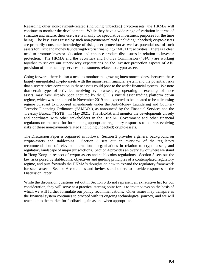Regarding other non-payment-related (including unbacked) crypto-assets, the HKMA will continue to monitor the development. While they have a wide range of variation in terms of structure and nature, their use case is mainly for speculative investment purposes for the time being. The key issues raised by such non-payment-related (including unbacked) crypto-assets are primarily consumer knowledge of risks, user protection as well as potential use of such assets for illicit and money laundering/terrorist financing ("ML/TF") activities. There is a clear need to promote investor education and enhance product disclosures in relation to investor protection. The HKMA and the Securities and Futures Commission ("SFC") are working together to set out our supervisory expectations on the investor protection aspects of AIs' provision of intermediary services to customers related to crypto-assets.

Going forward, there is also a need to monitor the growing interconnectedness between these largely unregulated crypto-assets with the mainstream financial system and the potential risks that a severe price correction in these assets could pose to the wider financial system. We note that certain types of activities involving crypto-assets, e.g. operating an exchange of those assets, may have already been captured by the SFC's virtual asset trading platform opt-in regime, which was announced in November 2019 and expected to be updated to be a licensing regime pursuant to proposed amendments under the Anti-Money Laundering and Counter-Terrorist Financing Ordinance ("AMLO"), as announced by the Financial Services and the Treasury Bureau ("FSTB") in May 2021. The HKMA will monitor the developments closely and coordinate with other stakeholders in the HKSAR Government and other financial regulators on the need for formulating appropriate regulatory responses to address evolving risks of these non-payment-related (including unbacked) crypto-assets.

The Discussion Paper is organised as follows. Section 2 provides a general background on crypto-assets and stablecoins. Section 3 sets out an overview of the regulatory recommendations of relevant international organisations in relation to crypto-assets, and regulatory landscape of major jurisdictions. Section 4 provides an overview of where we stand in Hong Kong in respect of crypto-assets and stablecoins regulations. Section 5 sets out the key risks posed by stablecoins, objectives and guiding principles of a contemplated regulatory regime, and puts forwards the HKMA's thoughts on how to expand the regulatory framework for such assets. Section 6 concludes and invites stakeholders to provide responses to the Discussion Paper.

While the discussion questions set out in Section 5 do not represent an exhaustive list for our consideration, they will serve as a practical starting point for us to invite views on the basis of which we will further formulate our policy recommendations. Other issues may transpire as the financial system continues to proceed with its ongoing technological journey, and we will reach out to the market for feedback again as and when appropriate.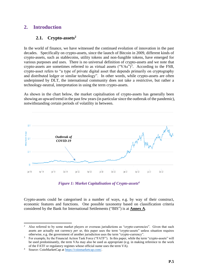# **2. Introduction**

# **2.1. Crypto-assets<sup>2</sup>**

In the world of finance, we have witnessed the continued evolution of innovation in the past decades. Specifically on crypto-assets, since the launch of Bitcoin in 2009, different kinds of crypto-assets, such as stablecoins, utility tokens and non-fungible tokens, have emerged for various purposes and uses. There is no universal definition of crypto-assets and we note that crypto-assets are sometimes referred to as virtual assets  $("VAs")^3$ . According to the FSB, crypto-asset refers to "a type of private digital asset that depends primarily on cryptography and distributed ledger or similar technology". In other words, while crypto-assets are often underpinned by DLT, the international community does not take a restrictive, but rather a technology-neutral, interpretation in using the term crypto-assets.

As shown in the chart below, the market capitalisation of crypto-assets has generally been showing an upward trend in the past few years (in particular since the outbreak of the pandemic), notwithstanding certain periods of volatility in between.



*Figure 1: Market Capitalisation of Crypto-assets<sup>4</sup>*

Crypto-assets could be categorised in a number of ways, e.g. by way of their construct, economic features and functions. One possible taxonomy based on classification criteria considered by the Bank for International Settlements ("BIS") is at **Annex A**.

**<sup>.</sup>** <sup>2</sup> Also referred to by some market players or overseas jurisdictions as "crypto-currencies". Given that such assets are actually not currency *per se*, this paper uses the term "crypto-assets" unless situation requires otherwise, e.g. the government of another jurisdiction uses the term "crypto-currency".

<sup>&</sup>lt;sup>3</sup> For example, by the Financial Action Task Force ("FATF"). In this paper, while the term "crypto-assets" will be used predominantly, the term VAs may also be used as appropriate (e.g. in making reference to the work of the FATF or regulatory regimes whose official name uses the term VA).

<sup>4</sup> Source: CoinMarketCap at [https://coinmarketcap.com/.](https://coinmarketcap.com/)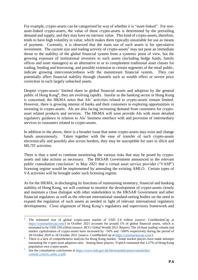For example, crypto-assets can be categorised by way of whether it is "asset-linked". For nonasset-linked crypto-assets, the value of these crypto-assets is determined by the prevailing demand and supply, and they may have no intrinsic value. This kind of crypto-assets, therefore, tends to have high volatility in value, which makes them typically unsuitable for use as means of payment. Currently, it is observed that the main use of such assets is for speculative investment. The current size and trading activity of crypto-assets<sup>5</sup> may not pose an immediate threat to the stability of the global financial system from a systemic point of view, but the growing exposure of institutional investors to such assets (including hedge funds, family offices and asset managers) as an alternative to or to complement traditional asset classes for trading, lending and borrowing, and possible extension to certain segments of the retail public, indicate growing interconnectedness with the mainstream financial system. They can potentially affect financial stability through channels such as wealth effect or severe price correction in such largely unbacked assets.

Despite crypto-assets' limited share in global financial assets and adoption by the general public of Hong Kong<sup>6</sup>, they are evolving rapidly. Insofar as the banking sector in Hong Kong is concerned, the HKMA notes that AIs' activities related to crypto-assets remain limited. However, there is growing interest of banks and their customers in exploring opportunities in investing in crypto-assets. AIs are also facing increasing demand from customers for cryptoasset related products and services. The HKMA will soon provide AIs with more detailed regulatory guidance in relation to AIs' business interface with and provision of intermediary services to customers related to crypto-assets.

In addition to the above, there is a broader issue that some crypto-assets may exist and change hands anonymously. Taken together with the ease of transfer of such crypto-assets electronically and possibly also across borders, they may be susceptible for uses in illicit and ML/TF activities.

There is thus a need to continue monitoring the various risks that may be posed by cryptoassets and take actions as necessary. The HKSAR Government announced in the relevant public consultation conclusion<sup>7</sup> in May 2021 that a virtual asset service provider ("VASP") licensing regime would be implemented by amending the existing AMLO. Certain types of VA activities will be brought under such licensing regime.

As for the HKMA, in discharging its functions of maintaining monetary, financial and banking stability of Hong Kong, we will continue to monitor the development of crypto-assets closely and maintain a close dialogue with other stakeholders in the HKSAR Government and other financial regulators as well as the relevant international standard-setting bodies on the need to expand the regulation of such assets as needed in light of relevant international regulatory developments. Close alignment of Hong Kong's regulatory and supervisory framework and

**<sup>.</sup>** <sup>5</sup> The estimated size of global crypto-asset market of USD 2.6 trillion (source: CoinMarketCap at [https://coinmarketcap.com/\)](https://coinmarketcap.com/) in October 2021 accounts for around 1% of global financial assets, which is estimated to be USD 250 trillion (source: BCG Global Wealth 2021 Report). The 24-hour trading volume and market capitalisation of crypto-assets have increased by  $\sim$ 50% and  $\sim$ 500% respectively during the period of 28 October 2020 to 28 October 2021 (source: CoinMarketCap at [https://coinmarketcap.com/\)](https://coinmarketcap.com/).

<sup>&</sup>lt;sup>6</sup> There is a lack of comprehensive analysis for Hong Kong market. Some market players have made attempts estimating the crypto-asset adoption ratio. Among these players, TripleA estimated that 3.27% of Hong Kong population own crypto-assets.

<sup>&</sup>lt;sup>7</sup> See the consultation conclusions at [https://www.fstb.gov.hk/fsb/en/publication/consult/doc/](https://www.fstb.gov.hk/fsb/en/publication/consult/doc/consult_conclu_amlo_e.pdf) [consult\\_conclu\\_amlo\\_e.pdf.](https://www.fstb.gov.hk/fsb/en/publication/consult/doc/consult_conclu_amlo_e.pdf)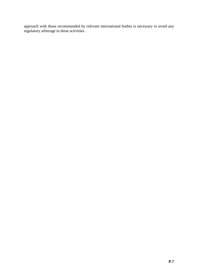approach with those recommended by relevant international bodies is necessary to avoid any regulatory arbitrage in these activities.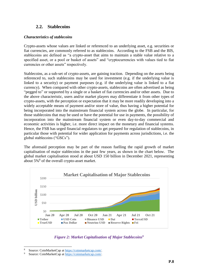## **2.2. Stablecoins**

#### *Characteristics of stablecoins*

Crypto-assets whose values are linked or referenced to an underlying asset, e.g. securities or fiat currencies, are commonly referred to as stablecoins. According to the FSB and the BIS, stablecoins are defined as "a crypto-asset that aims to maintain a stable value relative to a specified asset, or a pool or basket of assets" and "cryptocurrencies with values tied to fiat currencies or other assets" respectively.

Stablecoins, as a sub-set of crypto-assets, are gaining traction. Depending on the assets being referenced to, such stablecoins may be used for investment (e.g. if the underlying value is linked to a security) or payment purposes (e.g. if the underlying value is linked to a fiat currency). When compared with other crypto-assets, stablecoins are often advertised as being "pegged to" or supported by a single or a basket of fiat currencies and/or other assets. Due to the above characteristic, users and/or market players may differentiate it from other types of crypto-assets, with the perception or expectation that it may be more readily developing into a widely acceptable means of payment and/or store of value, thus having a higher potential for being incorporated into the mainstream financial system across the globe. In particular, for those stablecoins that may be used or have the potential for use in payments, the possibility of incorporation into the mainstream financial system or even day-to-day commercial and economic activities is higher, i.e. more direct impact on the monetary and financial systems. Hence, the FSB has urged financial regulators to get prepared for regulation of stablecoins, in particular those with potential for wider application for payments across jurisdictions, i.e. the global stablecoins ("GSCs").

The aforesaid perception may be part of the reason fuelling the rapid growth of market capitalisation of major stablecoins in the past few years, as shown in the chart below. The global market capitalisation stood at about USD 150 billion in December 2021, representing about  $5\%$ <sup>8</sup> of the overall crypto-asset market.



## *Figure 2: Market Capitalisation of Major Stablecoins<sup>9</sup>*

1

<sup>&</sup>lt;sup>8</sup> Source: CoinMarketCap at [https://coinmarketcap.com/.](https://coinmarketcap.com/)<br><sup>9</sup> Source: CoinMarketCap at https://coinmarketcap.com/.

Source: CoinMarketCap at [https://coinmarketcap.com/.](https://coinmarketcap.com/)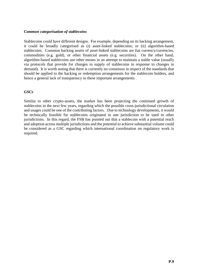#### *Common categorisation of stablecoins*

Stablecoins could have different designs. For example, depending on its backing arrangement, it could be broadly categorised as (i) asset-linked stablecoins; or (ii) algorithm-based stablecoins. Common backing assets of asset-linked stablecoins are fiat currency/currencies, commodities (e.g. gold), or other financial assets (e.g. securities). On the other hand, algorithm-based stablecoins use other means in an attempt to maintain a stable value (usually via protocols that provide for changes in supply of stablecoins in response to changes in demand). It is worth noting that there is currently no consensus in respect of the standards that should be applied to the backing or redemption arrangements for the stablecoin holders, and hence a general lack of transparency in these important arrangements.

#### *GSCs*

Similar to other crypto-assets, the market has been projecting the continued growth of stablecoins in the next few years, regarding which the possible cross-jurisdictional circulation and usages could be one of the contributing factors. Due to technology developments, it would be technically feasible for stablecoins originated in one jurisdiction to be used in other jurisdictions. In this regard, the FSB has pointed out that a stablecoin with a potential reach and adoption across multiple jurisdictions and the potential to achieve substantial volume could be considered as a GSC regarding which international coordination on regulatory work is required.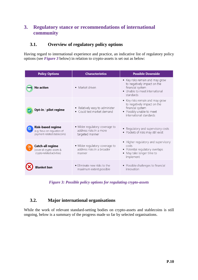# **3. Regulatory stance or recommendations of international community**

# **3.1. Overview of regulatory policy options**

Having regard to international experience and practice, an indicative list of regulatory policy options (see *Figure 3* below) in relation to crypto-assets is set out as below:

| <b>Policy Options</b>                                                                    | <b>Characteristics</b>                                                       | <b>Possible Downside</b>                                                                                                                   |
|------------------------------------------------------------------------------------------|------------------------------------------------------------------------------|--------------------------------------------------------------------------------------------------------------------------------------------|
| <b>No action</b>                                                                         | • Market driven                                                              | • Key risks remain and may grow<br>to negatively impact on the<br>financial system<br>• Unable to meet international<br>standards          |
| Opt-in / pilot regime                                                                    | • Relatively easy to administer<br>• Could test market demand                | • Key risks remain and may grow<br>to negatively impact on the<br>financial system<br>• Possibly unable to meet<br>international standards |
| <b>Risk-based regime</b><br>(e.g. focus on regulation of<br>payment-related stablecoins) | • Wider regulatory coverage to<br>address risks in a more<br>targeted manner | • Regulatory and supervisory costs<br>• Pockets of risks may still exist                                                                   |
| <b>Catch-all regime</b><br>₩<br>(cover all crypto-assets &<br>crypto-related activities) | • Wider regulatory coverage to<br>address risks in a broader<br>manner       | • Higher regulatory and supervisory<br>costs<br>• Potential regulatory overlaps<br>• May take longer time to<br>implement                  |
|                                                                                          | • Eliminate new risks to the<br>maximum extent possible                      | • Possible challenges to financial<br>innovation                                                                                           |

*Figure 3: Possible policy options for regulating crypto-assets*

# **3.2. Major international organisations**

While the work of relevant standard-setting bodies on crypto-assets and stablecoins is still ongoing, below is a summary of the progress made so far by selected organisations.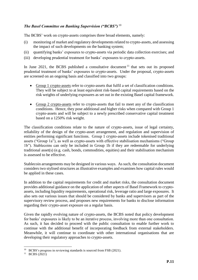## *The Basel Committee on Banking Supervision ("BCBS")* <sup>10</sup>

The BCBS' work on crypto-assets comprises three broad elements, namely:

- (i) monitoring of market and regulatory developments related to crypto-assets, and assessing the impact of such developments on the banking system;
- (ii) quantifying banks' exposures to crypto-assets via periodic data collection exercises; and
- (iii) developing prudential treatment for banks' exposures to crypto-assets.

In June 2021, the BCBS published a consultative document  $11$  that sets out its proposed prudential treatment of banks' exposures to crypto-assets. Under the proposal, crypto-assets are screened on an ongoing basis and classified into two groups:

- Group 1 crypto-assets refer to crypto-assets that fulfil a set of classification conditions. They will be subject to at least equivalent risk-based capital requirements based on the risk weights of underlying exposures as set out in the existing Basel capital framework.
- Group 2 crypto-assets refer to crypto-assets that fail to meet any of the classification conditions. Hence, they pose additional and higher risks when compared with Group 1 crypto-assets and will be subject to a newly prescribed conservative capital treatment based on a 1250% risk weight.

The classification conditions relate to the nature of crypto-assets, issue of legal certainty, reliability of the design of the crypto-asset arrangement, and regulation and supervision of entities performing significant functions. Group 1 crypto-assets include tokenised traditional assets ("Group 1a"), as well as crypto-assets with effective stabilisation mechanisms ("Group 1b"). Stablecoins can only be included in Group 1b if they are redeemable for underlying traditional asset(s) (e.g. cash, bonds, commodities, equities) and their stabilisation mechanism is assessed to be effective.

Stablecoin arrangements may be designed in various ways. As such, the consultation document considers two stylised structures as illustrative examples and examines how capital rules would be applied in these cases.

In addition to the capital requirements for credit and market risks, the consultation document provides additional guidance on the application of other aspects of Basel Framework to cryptoassets, including liquidity requirements, operational risk, leverage ratio and large exposures. It also sets out various issues that should be considered by banks and supervisors as part of the supervisory review process, and proposes new requirements for banks to disclose information regarding their crypto-asset exposure on a regular basis.

Given the rapidly evolving nature of crypto-assets, the BCBS noted that policy development for banks' exposures is likely to be an iterative process, involving more than one consultation. As such, it has decided to proceed with the public consultation to enable further work to continue with the additional benefit of incorporating feedback from external stakeholders. Meanwhile, it will continue to coordinate with other international organisations that are developing their regulatory approaches to crypto-assets.

<sup>&</sup>lt;sup>10</sup> BCBS's progress in reviewing standards is sourced from FSB (2021).<br><sup>11</sup> BCBS (2021)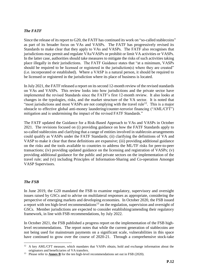#### *The FATF*

Since the release of its report to G20, the FATF has continued its work on "so-called stablecoins" as part of its broader focus on VAs and VASPs. The FATF has progressively revised its Standards to make clear that they apply to VAs and VASPs. The FATF also recognises that jurisdictions may permit and regulate VAs/VASPs or prohibit or limit VA activities or VASPs. In the latter case, authorities should take measures to mitigate the risks of such activities taking place illegally in their jurisdictions. The FATF Guidance states that "at a minimum, VASPs should be required to be licensed or registered in the jurisdiction(s) where they are created" (i.e. incorporated or established). Where a VASP is a natural person, it should be required to be licensed or registered in the jurisdiction where its place of business is located.

In July 2021, the FATF released a report on its second 12-month review of the revised standards on VAs and VASPs. This review looks into how jurisdictions and the private sector have implemented the revised Standards since the FATF's first 12-month review. It also looks at changes in the typologies, risks, and the market structure of the VA sector. It is noted that "most jurisdictions and most VASPs are not complying with the travel rule<sup>12</sup>. This is a major obstacle to effective global anti-money laundering/counter-terrorist financing ("AML/CFT") mitigation and is undermining the impact of the revised FATF Standards."

The FATF updated the Guidance for a Risk-Based Approach to VAs and VASPs in October 2021. The revisions focused on (i) providing guidance on how the FATF Standards apply to so-called stablecoins and clarifying that a range of entities involved in stablecoin arrangements could qualify as VASPs under the FATF Standards; (ii) clarifying the definitions of VA and VASP to make it clear that these definitions are expansive; (iii) providing additional guidance on the risks and the tools available to countries to address the ML/TF risks for peer-to-peer transactions; (iv) providing updated guidance on the licensing and registration of VASPs; (v) providing additional guidance for the public and private sectors on the implementation of the travel rule; and (vi) including Principles of Information-Sharing and Co-operation Amongst VASP Supervisors.

#### *The FSB*

In June 2019, the G20 mandated the FSB to examine regulatory, supervisory and oversight issues raised by GSCs and to advise on multilateral responses as appropriate, considering the perspective of emerging markets and developing economies. In October 2020, the FSB issued a report with ten high-level recommendations<sup>13</sup> on the regulation, supervision and oversight of GSCs. Member jurisdictions are expected to consider establishing/amending their regulatory framework, in line with FSB recommendations, by July 2022.

In October 2021, the FSB published a progress report on the implementation of the FSB highlevel recommendations. The report notes that while the current generation of stablecoins are not being used for mainstream payments on a significant scale, vulnerabilities in this space have continued to grow over the course of 2020-21. Through a comprehensive stock-take

 $\overline{a}$ <sup>12</sup> A key AML/CFT measure, which mandates that VASPs obtain, hold and exchange information about the originators and beneficiaries of VA transfers.

<sup>&</sup>lt;sup>13</sup> Please refer to **Annex B** for the ten high-level recommendations set out in FSB (2020).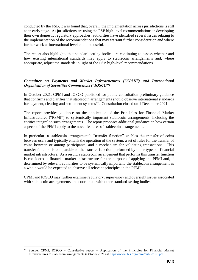conducted by the FSB, it was found that, overall, the implementation across jurisdictions is still at an early stage. As jurisdictions are using the FSB high-level recommendations in developing their own domestic regulatory approaches, authorities have identified several issues relating to the implementation of the recommendations that may warrant further consideration and where further work at international level could be useful.

The report also highlights that standard-setting bodies are continuing to assess whether and how existing international standards may apply to stablecoin arrangements and, where appropriate, adjust the standards in light of the FSB high-level recommendations.

### *Committee on Payments and Market Infrastructures ("CPMI") and International Organization of Securities Commissions ("IOSCO")*

In October 2021, CPMI and IOSCO published for public consultation preliminary guidance that confirms and clarifies that stablecoin arrangements should observe international standards for payment, clearing and settlement systems $^{14}$ . Consultation closed on 1 December 2021.

The report provides guidance on the application of the Principles for Financial Market Infrastructures ("PFMI") to systemically important stablecoin arrangements, including the entities integral to such arrangements. The report proposes additional guidance on how certain aspects of the PFMI apply to the novel features of stablecoin arrangements.

In particular, a stablecoin arrangement's "transfer function" enables the transfer of coins between users and typically entails the operation of the system, a set of rules for the transfer of coins between or among participants, and a mechanism for validating transactions. This transfer function is comparable to the transfer function performed by other types of financial market infrastructure. As a result, a stablecoin arrangement that performs this transfer function is considered a financial market infrastructure for the purpose of applying the PFMI and, if determined by relevant authorities to be systemically important, the stablecoin arrangement as a whole would be expected to observe all relevant principles in the PFMI.

CPMI and IOSCO may further examine regulatory, supervisory and oversight issues associated with stablecoin arrangements and coordinate with other standard-setting bodies.

1

<sup>14</sup> Source: CPMI, IOSCO – Consultative report – Application of the Principles for Financial Market Infrastructures to stablecoin arrangements (October 2021) at [https://www.bis.org/cpmi/publ/d198.pdf.](https://www.bis.org/cpmi/publ/d198.pdf)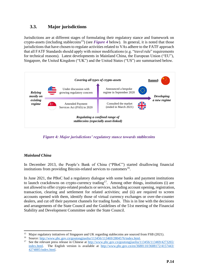# **3.3. Major jurisdictions**

Jurisdictions are at different stages of formulating their regulatory stance and framework on crypto-assets (including stablecoins<sup>15</sup>) (see *Figure 4* below). In general, it is noted that those jurisdictions that have chosen to regulate activities related to VAs adhere to the FATF approach that all FATF Standards should apply with minor modifications (e.g. "travel rule" requirements for technical reasons). Latest developments in Mainland China, the European Union ("EU"), Singapore, the United Kingdom ("UK") and the United States ("US") are summarised below.



*Figure 4: Major jurisdictions' regulatory stance towards stablecoins*

## *Mainland China*

In December 2013, the People's Bank of China ("PBoC") started disallowing financial institutions from providing Bitcoin-related services to customers<sup>16</sup>.

In June 2021, the PBoC had a regulatory dialogue with some banks and payment institutions to launch crackdowns on crypto-currency trading<sup>17</sup>. Among other things, institutions (i) are not allowed to offer crypto-related products or services, including account opening, registration, transaction, clearing and settlement for related activities; and (ii) are required to screen accounts opened with them, identify those of virtual currency exchanges or over-the-counter dealers, and cut off their payment channels for trading funds. This is in line with the decisions and arrangements of the State Council and the Guidelines of the 51st meeting of the Financial Stability and Development Committee under the State Council.

 $\overline{a}$ <sup>15</sup> Major regulatory initiatives of Singapore and UK regarding stablecoins are sourced from FSB (2021).

<sup>&</sup>lt;sup>16</sup> Source: [http://www.pbc.gov.cn/goutongjiaoliu/113456/113469/2804576/index.html.](http://www.pbc.gov.cn/goutongjiaoliu/113456/113469/2804576/index.html)

<sup>&</sup>lt;sup>17</sup> See the relevant press release in Chinese at [http://www.pbc.gov.cn/goutongjiaoliu/113456/113469/4273265/](http://www.pbc.gov.cn/goutongjiaoliu/113456/113469/4273265/index.html) [index.html.](http://www.pbc.gov.cn/goutongjiaoliu/113456/113469/4273265/index.html) The English version is available at [http://www.pbc.gov.cn/en/3688110/3688172/4157443/](http://www.pbc.gov.cn/en/3688110/3688172/4157443/4274885/index.html) [4274885/index.html.](http://www.pbc.gov.cn/en/3688110/3688172/4157443/4274885/index.html)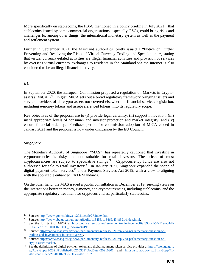More specifically on stablecoins, the PBoC mentioned in a policy briefing in July 2021<sup>18</sup> that stablecoins issued by some commercial organisations, especially GSCs, could bring risks and challenges to, among other things, the international monetary system as well as the payment and settlement system.

Further in September 2021, the Mainland authorities jointly issued a "Notice on Further Preventing and Resolving the Risks of Virtual Currency Trading and Speculation"<sup>19</sup>, stating that virtual currency-related activities are illegal financial activities and provision of services by overseas virtual currency exchanges to residents in the Mainland via the internet is also considered to be an illegal financial activity.

#### *EU*

In September 2020, the European Commission proposed a regulation on Markets in Cryptoassets ("MiCA")<sup>20</sup>. In gist, MiCA sets out a broad regulatory framework bringing issuers and service providers of all crypto-assets not covered elsewhere in financial services legislation, including e-money tokens and asset-referenced tokens, into its regulatory scope.

Key objectives of the proposal are to (i) provide legal certainty; (ii) support innovation; (iii) instil appropriate levels of consumer and investor protection and market integrity; and (iv) ensure financial stability. Feedback period for commission adoption of MiCA closed in January 2021 and the proposal is now under discussion by the EU Council.

## *Singapore*

The Monetary Authority of Singapore ("MAS") has repeatedly cautioned that investing in cryptocurrencies is risky and not suitable for retail investors. The prices of most cryptocurrencies are subject to speculative swings<sup>21</sup>. Cryptocurrency funds are also not authorised for sale to retail investors<sup>22</sup>. In January 2021, Singapore expanded the scope of digital payment token services<sup>23</sup> under Payment Services Act 2019, with a view to aligning with the applicable enhanced FATF Standards.

On the other hand, the MAS issued a public consultation in December 2019, seeking views on the interactions between money, e-money, and cryptocurrencies, including stablecoins, and the appropriate regulatory treatment for cryptocurrencies, particularly stablecoins.

<sup>1</sup> <sup>18</sup> Source: [http://www.gov.cn/xinwen/2021zccfh/27/index.htm.](http://www.gov.cn/xinwen/2021zccfh/27/index.htm)

<sup>19</sup> Source: [http://www.pbc.gov.cn/goutongjiaoliu/113456/113469/4348521/index.html.](http://www.pbc.gov.cn/goutongjiaoliu/113456/113469/4348521/index.html)

<sup>&</sup>lt;sup>20</sup> See the full text of MiCA at [https://eur-lex.europa.eu/resource.html?uri=cellar:f69f89bb-fe54-11ea-b44f-](https://eur-lex.europa.eu/resource.html?uri=cellar:f69f89bb-fe54-11ea-b44f-01aa75ed71a1.0001.02/DOC_1&format=PDF)[01aa75ed71a1.0001.02/DOC\\_1&format=PDF.](https://eur-lex.europa.eu/resource.html?uri=cellar:f69f89bb-fe54-11ea-b44f-01aa75ed71a1.0001.02/DOC_1&format=PDF)

<sup>&</sup>lt;sup>21</sup> Source: [https://www.mas.gov.sg/news/parliamentary-replies/2021/reply-to-parliamentary-question-on](https://www.mas.gov.sg/news/parliamentary-replies/2021/reply-to-parliamentary-question-on-trading-and-investments-in-crypto-assets)[trading-and-investments-in-crypto-assets.](https://www.mas.gov.sg/news/parliamentary-replies/2021/reply-to-parliamentary-question-on-trading-and-investments-in-crypto-assets)

<sup>&</sup>lt;sup>22</sup> Source: [https://www.mas.gov.sg/news/parliamentary-replies/2021/reply-to-parliamentary-question-on](https://www.mas.gov.sg/news/parliamentary-replies/2021/reply-to-parliamentary-question-on-crypto-asset-market)[crypto-asset-market.](https://www.mas.gov.sg/news/parliamentary-replies/2021/reply-to-parliamentary-question-on-crypto-asset-market)

<sup>&</sup>lt;sup>23</sup> See the definitions of digital payment token and digital payment token service provider at  $\frac{https://sso.ago.com}{https://sso.ago.com}$ [sg/Acts-Supp/1-2021/Published/20210301?DocDate=20210301](https://sso.agc.gov.sg/Acts-Supp/1-2021/Published/20210301?DocDate=20210301) and [https://sso.agc.gov.sg/Bills-Supp/41-](https://sso.agc.gov.sg/Bills-Supp/41-2020/Published/20201102?DocDate=20201102) [2020/Published/20201102?DocDate=20201102.](https://sso.agc.gov.sg/Bills-Supp/41-2020/Published/20201102?DocDate=20201102)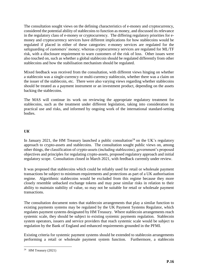The consultation sought views on the defining characteristics of e-money and cryptocurrency, considered the potential ability of stablecoins to function as money, and discussed its relevance in the regulatory class of e-money or cryptocurrency. The differing regulatory priorities for emoney and cryptocurrency services have different implications for how stablecoins would be regulated if placed in either of these categories: e-money services are regulated for the safeguarding of customers' money; whereas cryptocurrency services are regulated for ML/TF risk, with a disclosure requirement to warn customers of the risk of loss. Other issues were also touched on, such as whether a global stablecoin should be regulated differently from other stablecoins and how the stabilisation mechanism should be regulated.

Mixed feedback was received from the consultation, with different views hinging on whether a stablecoin was a single-currency or multi-currency stablecoin, whether there was a claim on the issuer of the stablecoin, etc. There were also varying views regarding whether stablecoins should be treated as a payment instrument or an investment product, depending on the assets backing the stablecoins.

The MAS will continue its work on reviewing the appropriate regulatory treatment for stablecoins, such as the treatment under different legislation, taking into consideration its practical use and risks, and informed by ongoing work of the international standard-setting bodies.

#### *UK*

In January 2021, the HM Treasury launched a public consultation<sup>24</sup> on the UK's regulatory approach to crypto-assets and stablecoins. The consultation sought public views on, among other things, the classification of crypto-assets (including stablecoins), government's proposed objectives and principles for regulating crypto-assets, proposed regulatory approach and initial regulatory scope. Consultation closed in March 2021, with feedback currently under review.

It was proposed that stablecoins which could be reliably used for retail or wholesale payment transactions be subject to minimum requirements and protections as part of a UK authorisation regime. Algorithmic stablecoins would be excluded from this regime because they more closely resemble unbacked exchange tokens and may pose similar risks in relation to their ability to maintain stability of value, so may not be suitable for retail or wholesale payment transactions.

The consultation document notes that stablecoin arrangements that play a similar function to existing payments systems may be regulated by the UK Payment Systems Regulator, which regulates payment systems designated by HM Treasury. Where stablecoin arrangements reach systemic scale, they should be subject to existing systemic payments regulation. Stablecoin system operators, issuers and service providers that reach systemic scale would be subject to regulation by the Bank of England and enhanced requirements grounded in the PFMI.

Existing criteria for systemic payment systems should be extended to stablecoin arrangements performing a retail or wholesale payment system function. Furthermore, a stablecoin

 24 HM Treasury (2021)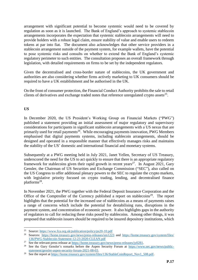arrangement with significant potential to become systemic would need to be covered by regulation as soon as it is launched. The Bank of England's approach to systemic stablecoin arrangements incorporates the expectation that systemic stablecoin arrangements will need to provide holders with a robust legal claim, ensure stability of value and enable users to redeem tokens at par into fiat. The document also acknowledges that other service providers in a stablecoin arrangement outside of the payment system, for example wallets, have the potential to pose systemic risks and consults on whether to extend the Bank of England's systemic regulatory perimeter to such entities. The consultation proposes an overall framework through legislation, with detailed requirements on firms to be set by the independent regulators.

Given the decentralised and cross-border nature of stablecoins, the UK government and authorities are also considering whether firms actively marketing to UK consumers should be required to have a UK establishment and be authorised in the UK.

On the front of consumer protection, the Financial Conduct Authority prohibits the sale to retail clients of derivatives and exchange traded notes that reference unregulated crypto assets $^{25}$ .

#### *US*

**.** 

In December 2020, the US President's Working Group on Financial Markets ("PWG") published a statement providing an initial assessment of major regulatory and supervisory considerations for participants in significant stablecoin arrangements with a US nexus that are primarily used for retail payments<sup>26</sup>. While encouraging payments innovation, PWG Members emphasised that digital payments systems, including stablecoin arrangements, should be designed and operated in a responsible manner that effectively manages risks and maintains the stability of the US' domestic and international financial and monetary systems.

Subsequently at a PWG meeting held in July 2021, Janet Yellen, Secretary of US Treasury, underscored the need for the US to act quickly to ensure that there is an appropriate regulatory framework for stablecoins given their rapid growth in recent years<sup>27</sup>. In August 2021, Gary Gensler, the Chairman of US Securities and Exchange Commission ("SEC"), also called on the US Congress to offer additional plenary powers to the SEC to regulate the crypto markets, with legislative priority focused on crypto trading, lending, and decentralised finance platforms<sup>28</sup>.

In November 2021, the PWG together with the Federal Deposit Insurance Corporation and the Office of the Comptroller of the Currency published a report on stablecoins<sup>29</sup>. The report highlights that the potential for the increased use of stablecoins as a means of payments raises a range of concerns which include the potential for destabilising runs, disruptions in the payment system, and concentration of economic power. It also highlights gaps in the authority of regulators to call for reducing these risks posed by stablecoins. Among other things, it was proposed that stablecoin issuers should be required to be insured depository institutions, which

<sup>25</sup> Source:<https://www.fca.org.uk/publication/policy/ps20-10.pdf>

<sup>26</sup> Sources: <https://home.treasury.gov/news/press-releases/sm1223> and [https://home.treasury.gov/system/files/](https://home.treasury.gov/system/files/136/PWG-Stablecoin-Statement-12-23-2020-CLEAN.pdf) [136/PWG-Stablecoin-Statement-12-23-2020-CLEAN.pdf](https://home.treasury.gov/system/files/136/PWG-Stablecoin-Statement-12-23-2020-CLEAN.pdf)

<sup>&</sup>lt;sup>27</sup> See the relevant press release at  $\frac{https://home.treasury.gov/news/press-releases/jy0281}{https://home.treasury.gov/news/press-releases/jy0281}$ .

<sup>&</sup>lt;sup>28</sup> See the Gary Gensler's remarks before the Aspen Security Forum at [https://www.sec.gov/news/public](https://www.sec.gov/news/public-statement/gensler-aspen-security-forum-2021-08-03)[statement/gensler-aspen-security-forum-2021-08-03.](https://www.sec.gov/news/public-statement/gensler-aspen-security-forum-2021-08-03)

<sup>&</sup>lt;sup>29</sup> See the report at [https://home.treasury.gov/system/files/136/StableCoinReport\\_Nov1\\_508.pdf.](https://home.treasury.gov/system/files/136/StableCoinReport_Nov1_508.pdf)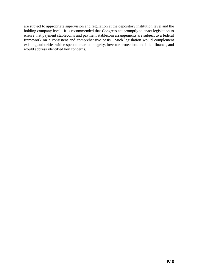are subject to appropriate supervision and regulation at the depository institution level and the holding company level. It is recommended that Congress act promptly to enact legislation to ensure that payment stablecoins and payment stablecoin arrangements are subject to a federal framework on a consistent and comprehensive basis. Such legislation would complement existing authorities with respect to market integrity, investor protection, and illicit finance, and would address identified key concerns.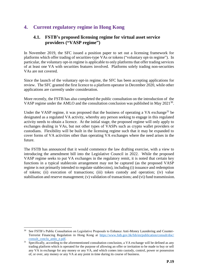# **4. Current regulatory regime in Hong Kong**

## **4.1. FSTB's proposed licensing regime for virtual asset service providers ("VASP regime")**

In November 2019, the SFC issued a position paper to set out a licensing framework for platforms which offer trading of securities-type VAs or tokens ("voluntary opt-in regime"). In particular, the voluntary opt-in regime is applicable to only platforms that offer trading services of at least one VA with securities features involved. Platforms solely trading non-securities VAs are not covered.

Since the launch of the voluntary opt-in regime, the SFC has been accepting applications for review. The SFC granted the first licence to a platform operator in December 2020, while other applications are currently under consideration.

More recently, the FSTB has also completed the public consultation on the introduction of the VASP regime under the AMLO and the consultation conclusion was published in May  $2021^{30}$ .

Under the VASP regime, it was proposed that the business of operating a VA exchange<sup>31</sup> be designated as a regulated VA activity, whereby any person seeking to engage in this regulated activity needs to obtain a licence. At the initial stage, the proposed regime will only apply to exchanges dealing in VAs, but not other types of VASPs such as crypto wallet providers or custodians. Flexibility will be built in the licensing regime such that it may be expanded to cover forms of VA activities other than operating VA exchanges where the need arises in the future.

The FSTB has announced that it would commence the law drafting exercise, with a view to introducing the amendment bill into the Legislative Council in 2022. While the proposed VASP regime seeks to put VA exchanges in the regulatory remit, it is noted that certain key functions in a typical stablecoin arrangement may not be captured (as the proposed VASP regime is not primarily intended to regulate stablecoins), including (i) issuance and redemption of tokens; (ii) execution of transactions; (iii) token custody and operation; (iv) value stabilisation and reserve management; (v) validation of transactions; and (vi) fund transmission.

**.** 

See FSTB's Public Consultation on Legislative Proposals to Enhance Anti-Money Laundering and Counter-Terrorist Financing Regulation in Hong Kong at [https://www.fstb.gov.hk/fsb/en/publication/consult/doc/](https://www.fstb.gov.hk/fsb/en/publication/consult/doc/consult_conclu_amlo_e.pdf) [consult\\_conclu\\_amlo\\_e.pdf.](https://www.fstb.gov.hk/fsb/en/publication/consult/doc/consult_conclu_amlo_e.pdf)

Specifically, according to the aforementioned consultation conclusion, a VA exchange will be defined as any trading platform which is operated for the purpose of allowing an offer or invitation to be made to buy or sell any VA in exchange for any money or any VA, and which comes into custody, control, power or possession of, or over, any money or any VA at any point in time during its course of business.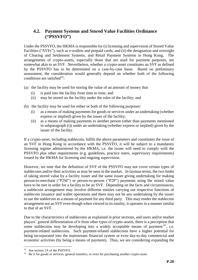## **4.2. Payment Systems and Stored Value Facilities Ordinance ("PSSVFO")**

Under the PSSVFO, the HKMA is responsible for (i) licensing and supervision of Stored Value Facilities ("SVFs"), such as e-wallets and prepaid cards; and (ii) the designation and oversight of Clearing and Settlement Systems, and Retail Payment Systems in Hong Kong. The arrangements of crypto-assets, especially those that are used for payment purposes, are somewhat akin to an SVF. Nevertheless, whether a crypto-asset constitutes an SVF as defined by the PSSVFO has to be determined on a case-by-case basis. Based on preliminary assessment, the consideration would generally depend on whether both of the following conditions are satisfied<sup>32</sup>:

- (a) the facility may be used for storing the value of an amount of money that
	- (i) is paid into the facility from time to time; and
	- (ii) may be stored on the facility under the rules of the facility; and
- (b) the facility may be used for either or both of the following purposes:
	- (i) as a means of making payments for goods or services under an undertaking (whether express or implied) given by the issuer of the facility;
	- (ii) as a means of making payments to another person (other than payments mentioned in subparagraph (i)) under an undertaking (whether express or implied) given by the issuer of the facility.

If a crypto-asset, including stablecoin, fulfils the above parameters and constitutes the issue of an SVF in Hong Kong in accordance with the PSSVFO, it will be subject to a mandatory licensing regime administered by the HKMA, i.e. the issuer will need to comply with the PSSVFO plus other requirements (e.g. guidelines, practice notes, supervisory requirements) issued by the HKMA for licensing and ongoing supervision.

However, we note that the definition of SVF of the PSSVFO may not cover certain types of stablecoins and/or their activities as may be seen in the market. In layman terms, the two limbs of taking stored value by a facility issuer and the same issuer giving undertaking for making person-to-merchant ("P2M") or person-to-person ("P2P") payments using the stored value have to be met in order for a facility to be an SVF. Depending on the facts and circumstances, a stablecoin arrangement may involve different entities carrying out respective functions of stablecoin issuance and wallet operations and there may not be any undertaking by the issuer to use the stablecoin as a means of payment for any third party. This may render the stablecoin arrangement not an SVF even though when viewed in its totality, it operates in a manner similar to that of an SVF.

Due to the characteristics of stablecoins as explained in prior sections, and users and/or market players' general differentiation of it from other types of crypto-assets, there is a perception that some stablecoins may be developing into a widely acceptable means of payment<sup>33</sup>, i.e. payment-related stablecoins. Such payment-related stablecoins have a higher potential for being incorporated into the mainstream financial system or even day-to-day commercial and economic activities (by being a means of payment). Thus, we are considering expanding the

1

<sup>32</sup> See section 2A of the PSSVFO.

<sup>&</sup>lt;sup>33</sup> Be it for goods or services, general transfers, or even for purchasing another crypto-asset.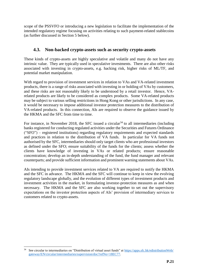scope of the PSSVFO or introducing a new legislation to facilitate the implementation of the intended regulatory regime focusing on activities relating to such payment-related stablecoins (as further discussed in Section 5 below).

## **4.3. Non-backed crypto-assets such as security crypto-assets**

These kinds of crypto-assets are highly speculative and volatile and many do not have any intrinsic value. They are typically used in speculative investments. There are also other risks associated with investing in crypto-assets, e.g. hacking risk, higher risks of ML/TF, and potential market manipulation.

With regard to provision of investment services in relation to VAs and VA-related investment products, there is a range of risks associated with investing in or holding of VAs by customers, and these risks are not reasonably likely to be understood by a retail investor. Hence, VArelated products are likely to be considered as complex products. Some VA-related products may be subject to various selling restrictions in Hong Kong or other jurisdictions. In any case, it would be necessary to impose additional investor protection measures to the distribution of VA-related products. In this connection, AIs are required to observe the guidance issued by the HKMA and the SFC from time to time.

For instance, in November 2018, the SFC issued a circular<sup>34</sup> to all intermediaries (including banks registered for conducting regulated activities under the Securities and Futures Ordinance ("SFO") – registered institutions) regarding regulatory requirements and expected standards and practices in relation to the distribution of VA funds. In particular for VA funds not authorised by the SFC, intermediaries should only target clients who are professional investors as defined under the SFO; ensure suitability of the funds for the clients; assess whether the clients have knowledge of investing in VAs or related products; ensure reasonable concentration; develop an in-depth understanding of the fund, the fund manager and relevant counterparts; and provide sufficient information and prominent warning statements about VAs.

AIs intending to provide investment services related to VA are required to notify the HKMA and the SFC in advance. The HKMA and the SFC will continue to keep in view the evolving regulatory landscape globally, and the evolution of different types of investment products and investment activities in the market, in formulating investor-protection measures as and when necessary. The HKMA and the SFC are also working together to set out the supervisory expectations on the investor protection aspects of AIs' provision of intermediary services to customers related to crypto-assets.

1

See circular to intermediaries on "Distribution of virtual asset funds" at [https://apps.sfc.hk/edistributionWeb/](https://apps.sfc.hk/edistributionWeb/gateway/EN/circular/intermediaries/supervision/doc?refNo=18EC77) [gateway/EN/circular/intermediaries/supervision/doc?refNo=18EC77.](https://apps.sfc.hk/edistributionWeb/gateway/EN/circular/intermediaries/supervision/doc?refNo=18EC77)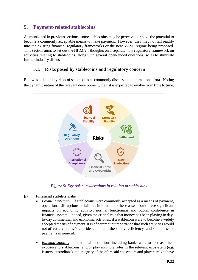# **5. Payment-related stablecoins**

As mentioned in previous sections, some stablecoins may be perceived or have the potential to become a commonly acceptable means to make payment. However, they may not fall readily into the existing financial regulatory frameworks or the new VASP regime being proposed. This section aims to set out the HKMA's thoughts on a separate new regulatory framework on activities relating to stablecoins, along with several open-ended questions, so as to stimulate further industry discussion.

## **5.1. Risks posed by stablecoins and regulatory concern**

Below is a list of key risks of stablecoins as commonly discussed in international fora. Noting the dynamic nature of the relevant development, the list is expected to evolve from time to time.



*Figure 5: Key risk considerations in relation to stablecoins*

## **(i) Financial stability risks**

- *Payment integrity:* If stablecoins were commonly accepted as a means of payment, operational disruptions or failures in relation to these assets could have significant impacts on economic activity, normal functioning and public confidence in financial system. Indeed, given the critical role that money has been playing in dayto-day commercial and economic activities, if a stablecoin were to become a widely accepted means of payment, it is of paramount importance that such activities would not affect the public's confidence in, and the safety, efficiency, and soundness of payments in general.
- *Banking stability:* If financial institutions including banks were to increase their exposure to stablecoins, and/or play multiple roles in the relevant ecosystem (e.g. issuers, custodians), the integrity of the aforesaid ecosystem and players might have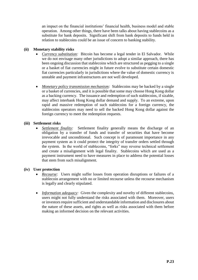an impact on the financial institutions' financial health, business model and stable operation. Among other things, there have been talks about having stablecoins as a substitute for bank deposits. Significant shift from bank deposits to funds held in relation to stablecoins could be an issue of concern to banking stability.

#### **(ii) Monetary stability risks**

- *Currency substitution:* Bitcoin has become a legal tender in El Salvador. While we do not envisage many other jurisdictions to adopt a similar approach, there has been ongoing discussion that stablecoins which are structured as pegging to a single or a basket of fiat currencies might in future evolve to substitute certain domestic fiat currencies particularly in jurisdictions where the value of domestic currency is unstable and payment infrastructures are not well developed.
- *Monetary policy transmission mechanism:* Stablecoins may be backed by a single or a basket of currencies, and it is possible that some may choose Hong Kong dollar as a backing currency. The issuance and redemption of such stablecoins, if sizable, may affect interbank Hong Kong dollar demand and supply. To an extreme, upon rapid and massive redemption of such stablecoins for a foreign currency, the stablecoins operators may need to sell the backed Hong Kong dollar against the foreign currency to meet the redemption requests.

#### **(iii) Settlement risks**

 *Settlement finality:* Settlement finality generally means the discharge of an obligation by a transfer of funds and transfer of securities that have become irrevocable and unconditional. Such concept is of paramount importance in any payment system as it could protect the integrity of transfer orders settled through the system. In the world of stablecoins, "forks" may reverse technical settlement and create a misalignment with legal finality. Stablecoins which are used as a payment instrument need to have measures in place to address the potential losses that stem from such misalignment.

#### **(iv) User protection**

- *Recourse:* Users might suffer losses from operation disruptions or failures of a stablecoin arrangement with no or limited recourse unless the recourse mechanism is legally and clearly stipulated.
- *Information adequacy:* Given the complexity and novelty of different stablecoins, users might not fully understand the risks associated with them. Moreover, users or investors require sufficient and understandable information and disclosures about the nature of these assets, and rights as well as risks associated with them before making an informed decision on the relevant activities.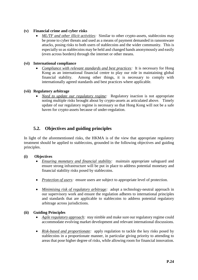#### **(v) Financial crime and cyber risks**

 *ML/TF and other illicit activities:* Similar to other crypto-assets, stablecoins may be prone to cyber threats and used as a means of payment demanded in ransomware attacks, posing risks to both users of stablecoins and the wider community. This is especially so as stablecoins may be held and changed hands anonymously and easily (even across borders) through the internet or other means.

#### **(vi) International compliance**

 *Compliance with relevant standards and best practices:* It is necessary for Hong Kong as an international financial centre to play our role in maintaining global financial stability. Among other things, it is necessary to comply with internationally agreed standards and best practices where applicable.

#### **(vii) Regulatory arbitrage**

 *Need to update our regulatory regime:* Regulatory inaction is not appropriate noting multiple risks brought about by crypto-assets as articulated above. Timely update of our regulatory regime is necessary so that Hong Kong will not be a safe haven for crypto-assets because of under-regulation.

## **5.2. Objectives and guiding principles**

In light of the aforementioned risks, the HKMA is of the view that appropriate regulatory treatment should be applied to stablecoins, grounded in the following objectives and guiding principles.

#### **(i) Objectives**

- *Ensuring monetary and financial stability:* maintain appropriate safeguard and ensure strong infrastructure will be put in place to address potential monetary and financial stability risks posed by stablecoins.
- *Protection of users:* ensure users are subject to appropriate level of protection.
- *Minimising risk of regulatory arbitrage:* adopt a technology-neutral approach in our supervisory work and ensure the regulation adheres to international principles and standards that are applicable to stablecoins to address potential regulatory arbitrage across jurisdictions.

#### **(ii) Guiding Principles**

- *Agile regulatory approach:* stay nimble and make sure our regulatory regime could accommodate evolving market development and relevant international discussions.
- *Risk-based and proportionate:* apply regulation to tackle the key risks posed by stablecoins in a proportionate manner, in particular giving priority to attending to areas that pose higher degree of risks, while allowing room for financial innovation.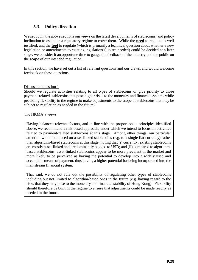# **5.3. Policy direction**

We set out in the above sections our views on the latest developments of stablecoins, and policy inclination to establish a regulatory regime to cover them. While the **need** to regulate is well justified, and the **tool** to regulate (which is primarily a technical question about whether a new legislation or amendments to existing legislation(s) is/are needed) could be decided at a later stage, we consider it an opportune time to gauge the feedback of the industry and the public on the **scope** of our intended regulation.

In this section, we have set out a list of relevant questions and our views, and would welcome feedback on these questions.

#### Discussion question 1

Should we regulate activities relating to all types of stablecoins or give priority to those payment-related stablecoins that pose higher risks to the monetary and financial systems while providing flexibility in the regime to make adjustments to the scope of stablecoins that may be subject to regulation as needed in the future?

#### The HKMA's views

Having balanced relevant factors, and in line with the proportionate principles identified above, we recommend a risk-based approach, under which we intend to focus on activities related to payment-related stablecoins at this stage. Among other things, our particular attention would be placed on asset-linked stablecoins (e.g. to a single fiat currency) rather than algorithm-based stablecoins at this stage, noting that (i) currently, existing stablecoins are mostly asset-linked and predominantly pegged to USD; and (ii) compared to algorithmbased stablecoins, asset-linked stablecoins appear to be more prevalent in the market and more likely to be perceived as having the potential to develop into a widely used and acceptable means of payment, thus having a higher potential for being incorporated into the mainstream financial system.

That said, we do not rule out the possibility of regulating other types of stablecoins including but not limited to algorithm-based ones in the future (e.g. having regard to the risks that they may pose to the monetary and financial stability of Hong Kong). Flexibility should therefore be built in the regime to ensure that adjustments could be made readily as needed in the future.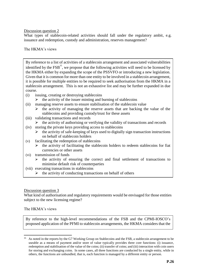<span id="page-25-0"></span>What types of stablecoin-related activities should fall under the regulatory ambit, e.g. issuance and redemption, custody and administration, reserves management?

#### The HKMA's views

By reference to a list of activities of a stablecoin arrangement and associated vulnerabilities identified by the  $FSB^{35}$  $FSB^{35}$  $FSB^{35}$ , we propose that the following activities will need to be licensed by the HKMA either by expanding the scope of the PSSVFO or introducing a new legislation. Given that it is common for more than one entity to be involved in a stablecoin arrangement, it is possible for multiple entities to be required to seek authorisation from the HKMA in a stablecoin arrangement. This is not an exhaustive list and may be further expanded in due course.

- (i) issuing, creating or destroying stablecoins
	- $\triangleright$  the activity of the issuer minting and burning of stablecoins
- (ii) managing reserve assets to ensure stabilisation of the stablecoin value
	- $\triangleright$  the activity of managing the reserve assets that are backing the value of the stablecoins and providing custody/trust for these assets
- (iii) validating transactions and records

 $\triangleright$  the activity of authorising or verifying the validity of transactions and records

- (iv) storing the private keys providing access to stablecoins
	- $\triangleright$  the activity of safe-keeping of keys used to digitally sign transaction instructions on behalf of stablecoin holders
- (v) facilitating the redemption of stablecoins
	- the activity of facilitating the stablecoin holders to redeem stablecoins for fiat currencies or other assets
- (vi) transmission of funds
	- $\triangleright$  the activity of ensuring the correct and final settlement of transactions to minimise default risk of counterparties
- (vii) executing transactions in stablecoins
	- the activity of conducting transactions on behalf of others

#### Discussion question 3

What kind of authorisation and regulatory requirements would be envisaged for those entities subject to the new licensing regime?

#### The HKMA's views

1

By reference to the high-level recommendations of the FSB and the CPMI-IOSCO's proposed application of the PFMI to stablecoin arrangements, the HKMA considers that the

<sup>&</sup>lt;sup>35</sup> As noted in the reports by the G7 Working Group on Stablecoins and the FSB, a stablecoin arrangement to be useable as a means of payment and/or store of value typically provides three core functions: (i) issuance, redemption and stabilisation of the value of the coins; (ii) transfer of coins; and (iii) interaction with coin users for storing and exchanging coins. In some cases, all three functions are conducted by a single entity, while in others, the functions are unbundled, that is, each function is managed by a different entity or person.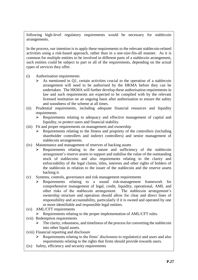following high-level regulatory requirements would be necessary for stablecoin arrangements.

In the process, our intention is to apply these requirements to the relevant stablecoin-related activities using a risk-based approach, rather than in a one-size-fits-all manner. As it is common for multiple entities to be involved in different parts of a stablecoin arrangement, such entities could be subject to part or all of the requirements, depending on the actual types of services they offer.

- (i) Authorisation requirements
	- $\triangleright$  As mentioned in Q1, certain activities crucial to the operation of a stablecoin arrangement will need to be authorised by the HKMA before they can be undertaken. The HKMA will further develop these authorisation requirements in law and such requirements are expected to be complied with by the relevant licensed institution on an ongoing basis after authorisation to ensure the safety and soundness of the scheme at all times.
- (ii) Prudential requirements, including adequate financial resources and liquidity requirements
	- $\triangleright$  Requirements relating to adequacy and effective management of capital and liquidity, to protect users and financial stability.
- (iii) Fit and proper requirements on management and ownership
	- $\triangleright$  Requirements relating to the fitness and propriety of the controllers (including shareholder controllers and indirect controllers) and senior management of stablecoin arrangements.
- (iv) Maintenance and management of reserves of backing assets
	- $\triangleright$  Requirements relating to the nature and sufficiency of the stablecoin arrangement's reserve assets to support and stabilise the value of the outstanding stock of stablecoins and also requirements relating to the clarity and enforceability of the legal claims, titles, interests and other rights of holders of the stablecoin in relation to the issuer of the stablecoin and the reserve assets backing it.
- (v) Systems, controls, governance and risk management requirements
	- Requirements relating to a sound risk-management framework for comprehensive management of legal, credit, liquidity, operational, AML and other risks of the stablecoin arrangement. The stablecoin arrangement's ownership structure and operation should allow for clear and direct lines of responsibility and accountability, particularly if it is owned and operated by one or more identifiable and responsible legal entities.
- (vi) AML/CFT requirements
	- $\triangleright$  Requirements relating to the proper implementation of AML/CFT rules.
- (vii) Redemption requirements
	- $\triangleright$  The clarity, robustness, and timeliness of the process for converting the stablecoin into other liquid assets.
- (viii) Financial reporting and disclosure
	- $\triangleright$  Requirements relating to the firms' disclosures to regulator(s) and users and also requirements relating to the rights that firms should provide towards users.
- (ix) Safety, efficiency and security requirements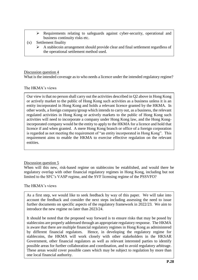- Requirements relating to safeguards against cyber-security, operational and business continuity risks etc.
- (x) Settlement finality
	- A stablecoin arrangement should provide clear and final settlement regardless of the operational settlement method used.

What is the intended coverage as to who needs a licence under the intended regulatory regime?

#### The HKMA's views

Our view is that no person shall carry out the activities described in Q2 above in Hong Kong or actively market to the public of Hong Kong such activities as a business unless it is an entity incorporated in Hong Kong and holds a relevant licence granted by the HKMA. In other words, a foreign company/group which intends to carry out, as a business, the relevant regulated activities in Hong Kong or actively markets to the public of Hong Kong such activities will need to incorporate a company under Hong Kong law, and the Hong Kongincorporated company would be the entity to apply to the HKMA for a licence and hold that licence if and when granted. A mere Hong Kong branch or office of a foreign corporation is regarded as not meeting the requirement of "an entity incorporated in Hong Kong". This requirement aims to enable the HKMA to exercise effective regulation on the relevant entities.

#### Discussion question 5

When will this new, risk-based regime on stablecoins be established, and would there be regulatory overlap with other financial regulatory regimes in Hong Kong, including but not limited to the SFC's VASP regime, and the SVF licensing regime of the PSSVFO?

#### The HKMA's views

As a first step, we would like to seek feedback by way of this paper. We will take into account the feedback and consider the next steps including assessing the need to issue further documents on specific aspects of the regulatory framework in 2022/23. We aim to introduce the new regime no later than 2023/24.

It should be noted that the proposed way forward is to ensure risks that may be posed by stablecoins are properly addressed through an appropriate regulatory response. The HKMA is aware that there are multiple financial regulatory regimes in Hong Kong as administered by different financial regulators. Hence, in developing the regulatory regime for stablecoins, the HKMA will work closely with other stakeholders in the HKSAR Government, other financial regulators as well as relevant interested parties to identify possible areas for further collaboration and coordination, and to avoid regulatory arbitrage. These areas would cover possible cases which may be subject to regulation by more than one local financial authority.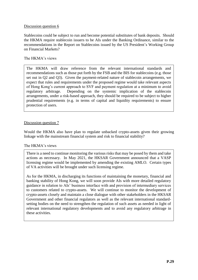Stablecoins could be subject to run and become potential substitutes of bank deposits. Should the HKMA require stablecoin issuers to be AIs under the Banking Ordinance, similar to the recommendations in the Report on Stablecoins issued by the US President's Working Group on Financial Markets?

#### The HKMA's views

The HKMA will draw reference from the relevant international standards and recommendations such as those put forth by the FSB and the BIS for stablecoins (e.g. those set out in Q2 and Q3). Given the payment-related nature of stablecoin arrangements, we expect that rules and requirements under the proposed regime would take relevant aspects of Hong Kong's current approach to SVF and payment regulation at a minimum to avoid regulatory arbitrage. Depending on the systemic implication of the stablecoin arrangements, under a risk-based approach, they should be required to be subject to higher prudential requirements (e.g. in terms of capital and liquidity requirements) to ensure protection of users.

#### Discussion question 7

Would the HKMA also have plan to regulate unbacked crypto-assets given their growing linkage with the mainstream financial system and risk to financial stability?

#### The HKMA's views

There is a need to continue monitoring the various risks that may be posed by them and take actions as necessary. In May 2021, the HKSAR Government announced that a VASP licensing regime would be implemented by amending the existing AMLO. Certain types of VA activities will be brought under such licensing regime.

As for the HKMA, in discharging its functions of maintaining the monetary, financial and banking stability of Hong Kong, we will soon provide AIs with more detailed regulatory guidance in relation to AIs' business interface with and provision of intermediary services to customers related to crypto-assets. We will continue to monitor the development of crypto-assets closely and maintain a close dialogue with other stakeholders in the HKSAR Government and other financial regulators as well as the relevant international standardsetting bodies on the need to strengthen the regulation of such assets as needed in light of relevant international regulatory developments and to avoid any regulatory arbitrage in these activities.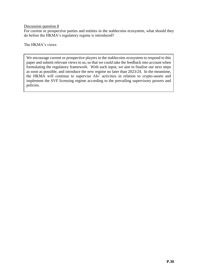For current or prospective parties and entities in the stablecoins ecosystem, what should they do before the HKMA's regulatory regime is introduced?

The HKMA's views

We encourage current or prospective players in the stablecoins ecosystem to respond to this paper and submit relevant views to us, so that we could take the feedback into account when formulating the regulatory framework. With such input, we aim to finalise our next steps as soon as possible, and introduce the new regime no later than 2023/24. In the meantime, the HKMA will continue to supervise AIs' activities in relation to crypto-assets and implement the SVF licensing regime according to the prevailing supervisory powers and policies.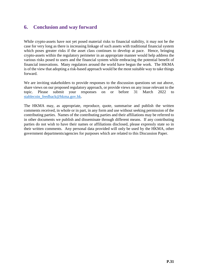# **6. Conclusion and way forward**

While crypto-assets have not yet posed material risks to financial stability, it may not be the case for very long as there is increasing linkage of such assets with traditional financial system which poses greater risks if the asset class continues to develop at pace. Hence, bringing crypto-assets within the regulatory perimeter in an appropriate manner would help address the various risks posed to users and the financial system while embracing the potential benefit of financial innovations. Many regulators around the world have begun the work. The HKMA is of the view that adopting a risk-based approach would be the most suitable way to take things forward.

We are inviting stakeholders to provide responses to the discussion questions set out above, share views on our proposed regulatory approach, or provide views on any issue relevant to the topic. Please submit your responses on or before 31 March 2022 to [stablecoin\\_feedback@hkma.gov.hk.](mailto:stablecoin_feedback@hkma.gov.hk)

The HKMA may, as appropriate, reproduce, quote, summarise and publish the written comments received, in whole or in part, in any form and use without seeking permission of the contributing parties. Names of the contributing parties and their affiliations may be referred to in other documents we publish and disseminate through different means. If any contributing parties do not wish to have their names or affiliations disclosed, please expressly state so in their written comments. Any personal data provided will only be used by the HKMA, other government departments/agencies for purposes which are related to this Discussion Paper.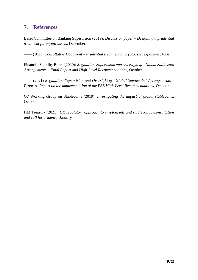# **7. References**

Basel Committee on Banking Supervision (2019): *Discussion paper – Designing a prudential treatment for crypto-assets*, December.

–––– (2021) *Consultative Document – Prudential treatment of cryptoasset exposures*, June

Financial Stability Board (2020): *Regulation, Supervision and Oversight of "Global Stablecoin" Arrangements – Final Report and High-Level Recommendations*, October

–––– (2021) *Regulation, Supervision and Oversight of "Global Stablecoin" Arrangements – Progress Report on the implementation of the FSB High-Level Recommendations*, October

G7 Working Group on Stablecoins (2019): *Investigating the impact of global stablecoins*, **October** 

HM Treasury (2021): *UK regulatory approach to cryptoassets and stablecoins: Consultation and call for evidence*, January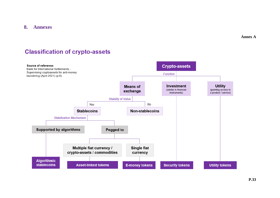**8. Annexes**

**Annex A**

# **Classification of crypto-assets**